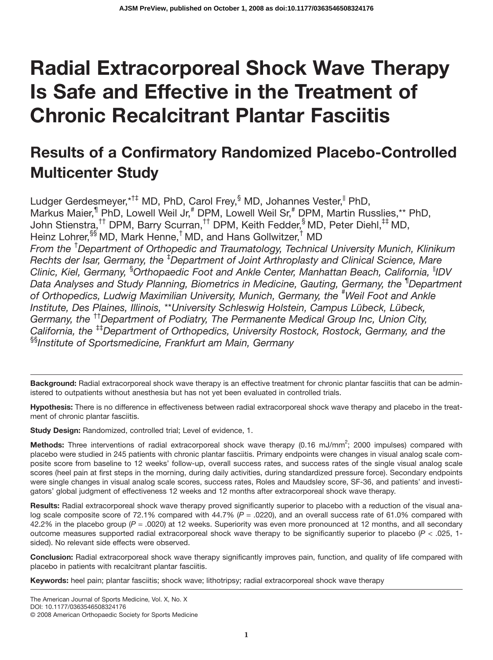# **Radial Extracorporeal Shock Wave Therapy Is Safe and Effective in the Treatment of Chronic Recalcitrant Plantar Fasciitis**

# **Results of a Confirmatory Randomized Placebo-Controlled Multicenter Study**

Ludger Gerdesmeyer,\*<sup>†‡</sup> MD, PhD, Carol Frey, MD, Johannes Vester, PhD, Markus Maier,<sup>1</sup> PhD, Lowell Weil Jr,<sup>#</sup> DPM, Lowell Weil Sr,<sup>#</sup> DPM, Martin Russlies,\*\* PhD, John Stienstra,†† DPM, Barry Scurran,†† DPM, Keith Fedder,§ MD, Peter Diehl,‡‡ MD, Heinz Lohrer, <sup>§§</sup> MD, Mark Henne,<sup>†</sup> MD, and Hans Gollwitzer,<sup>†</sup> MD *From the* † *Department of Orthopedic and Traumatology, Technical University Munich, Klinikum Rechts der Isar, Germany, the* ‡ *Department of Joint Arthroplasty and Clinical Science, Mare Clinic, Kiel, Germany,* § *Orthopaedic Foot and Ankle Center, Manhattan Beach, California,* ||*IDV Data Analyses and Study Planning, Biometrics in Medicine, Gauting, Germany, the* ¶ *Department* of Orthopedics, Ludwig Maximilian University, Munich, Germany, the <sup>#</sup>Weil Foot and Ankle *Institute, Des Plaines, Illinois,* \*\**University Schleswig Holstein, Campus Lübeck, Lübeck, Germany, the* ††*Department of Podiatry, The Permanente Medical Group Inc, Union City, California, the* ‡‡*Department of Orthopedics, University Rostock, Rostock, Germany, and the* §§*Institute of Sportsmedicine, Frankfurt am Main, Germany*

Background: Radial extracorporeal shock wave therapy is an effective treatment for chronic plantar fasciitis that can be administered to outpatients without anesthesia but has not yet been evaluated in controlled trials.

**Hypothesis:** There is no difference in effectiveness between radial extracorporeal shock wave therapy and placebo in the treatment of chronic plantar fasciitis.

**Study Design:** Randomized, controlled trial; Level of evidence, 1.

Methods: Three interventions of radial extracorporeal shock wave therapy (0.16 mJ/mm<sup>2</sup>; 2000 impulses) compared with placebo were studied in 245 patients with chronic plantar fasciitis. Primary endpoints were changes in visual analog scale composite score from baseline to 12 weeks' follow-up, overall success rates, and success rates of the single visual analog scale scores (heel pain at first steps in the morning, during daily activities, during standardized pressure force). Secondary endpoints were single changes in visual analog scale scores, success rates, Roles and Maudsley score, SF-36, and patients' and investigators' global judgment of effectiveness 12 weeks and 12 months after extracorporeal shock wave therapy.

**Results:** Radial extracorporeal shock wave therapy proved significantly superior to placebo with a reduction of the visual analog scale composite score of 72.1% compared with 44.7% ( $P = 0.0220$ ), and an overall success rate of 61.0% compared with 42.2% in the placebo group (*P* = .0020) at 12 weeks. Superiority was even more pronounced at 12 months, and all secondary outcome measures supported radial extracorporeal shock wave therapy to be significantly superior to placebo (*P* < .025, 1 sided). No relevant side effects were observed.

**Conclusion:** Radial extracorporeal shock wave therapy significantly improves pain, function, and quality of life compared with placebo in patients with recalcitrant plantar fasciitis.

**Keywords:** heel pain; plantar fasciitis; shock wave; lithotripsy; radial extracorporeal shock wave therapy

The American Journal of Sports Medicine, Vol. X, No. X

DOI: 10.1177/0363546508324176

© 2008 American Orthopaedic Society for Sports Medicine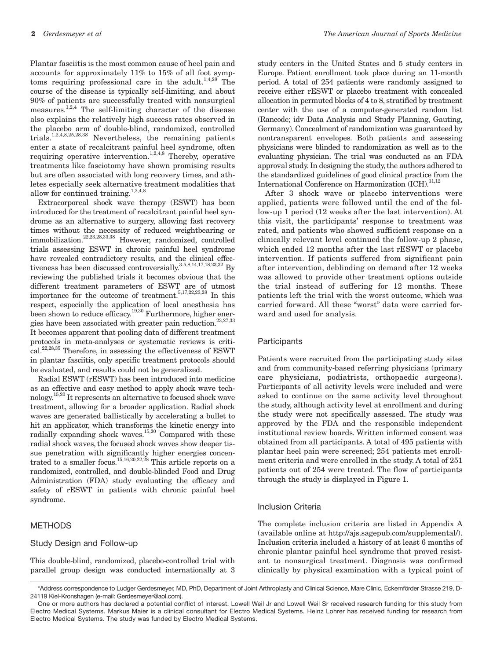**2** *Gerdesmeyer et al The American Journal of Sports Medicine*

Plantar fasciitis is the most common cause of heel pain and accounts for approximately 11% to 15% of all foot symptoms requiring professional care in the adult.<sup>1,4,28</sup> The course of the disease is typically self-limiting, and about 90% of patients are successfully treated with nonsurgical measures.1,2,4 The self-limiting character of the disease also explains the relatively high success rates observed in the placebo arm of double-blind, randomized, controlled trials.<sup>1,2,4,8,25,28,38</sup> Nevertheless, the remaining patients enter a state of recalcitrant painful heel syndrome, often requiring operative intervention.<sup>1,2,4,8</sup> Thereby, operative treatments like fasciotomy have shown promising results but are often associated with long recovery times, and athletes especially seek alternative treatment modalities that allow for continued training. $1,2,4,8$ 

Extracorporeal shock wave therapy (ESWT) has been introduced for the treatment of recalcitrant painful heel syndrome as an alternative to surgery, allowing fast recovery times without the necessity of reduced weightbearing or immobilization.<sup>22,23,28,33,38</sup> However, randomized, controlled trials assessing ESWT in chronic painful heel syndrome have revealed contradictory results, and the clinical effectiveness has been discussed controversially.  $\mathrm{^{3\text{-}5,8,14,17,18,23,32}}$  By reviewing the published trials it becomes obvious that the different treatment parameters of ESWT are of utmost importance for the outcome of treatment.<sup>5,17,22,23,28</sup> In this respect, especially the application of local anesthesia has been shown to reduce efficacy.<sup>19,30</sup> Furthermore, higher energies have been associated with greater pain reduction.<sup>23,27,33</sup> It becomes apparent that pooling data of different treatment protocols in meta-analyses or systematic reviews is critical.22,28,35 Therefore, in assessing the effectiveness of ESWT in plantar fasciitis, only specific treatment protocols should be evaluated, and results could not be generalized.

Radial ESWT (rESWT) has been introduced into medicine as an effective and easy method to apply shock wave technology.15,20 It represents an alternative to focused shock wave treatment, allowing for a broader application. Radial shock waves are generated ballistically by accelerating a bullet to hit an applicator, which transforms the kinetic energy into radially expanding shock waves.<sup>15,20</sup> Compared with these radial shock waves, the focused shock waves show deeper tissue penetration with significantly higher energies concentrated to a smaller focus.<sup>15,16,20,22,28</sup> This article reports on a randomized, controlled, and double-blinded Food and Drug Administration (FDA) study evaluating the efficacy and safety of rESWT in patients with chronic painful heel syndrome.

#### **METHODS**

#### Study Design and Follow-up

This double-blind, randomized, placebo-controlled trial with parallel group design was conducted internationally at 3 study centers in the United States and 5 study centers in Europe. Patient enrollment took place during an 11-month period. A total of 254 patients were randomly assigned to receive either rESWT or placebo treatment with concealed allocation in permuted blocks of 4 to 8, stratified by treatment center with the use of a computer-generated random list (Rancode; idv Data Analysis and Study Planning, Gauting, Germany). Concealment of randomization was guaranteed by nontransparent envelopes. Both patients and assessing physicians were blinded to randomization as well as to the evaluating physician. The trial was conducted as an FDA approval study. In designing the study, the authors adhered to the standardized guidelines of good clinical practice from the International Conference on Harmonization (ICH).<sup>11,12</sup>

After 3 shock wave or placebo interventions were applied, patients were followed until the end of the follow-up 1 period (12 weeks after the last intervention). At this visit, the participants' response to treatment was rated, and patients who showed sufficient response on a clinically relevant level continued the follow-up 2 phase, which ended 12 months after the last rESWT or placebo intervention. If patients suffered from significant pain after intervention, deblinding on demand after 12 weeks was allowed to provide other treatment options outside the trial instead of suffering for 12 months. These patients left the trial with the worst outcome, which was carried forward. All these "worst" data were carried forward and used for analysis.

#### **Participants**

Patients were recruited from the participating study sites and from community-based referring physicians (primary care physicians, podiatrists, orthopaedic surgeons). Participants of all activity levels were included and were asked to continue on the same activity level throughout the study, although activity level at enrollment and during the study were not specifically assessed. The study was approved by the FDA and the responsible independent institutional review boards. Written informed consent was obtained from all participants. A total of 495 patients with plantar heel pain were screened; 254 patients met enrollment criteria and were enrolled in the study. A total of 251 patients out of 254 were treated. The flow of participants through the study is displayed in Figure 1.

#### Inclusion Criteria

The complete inclusion criteria are listed in Appendix A (available online at http://ajs.sagepub.com/supplemental/). Inclusion criteria included a history of at least 6 months of chronic plantar painful heel syndrome that proved resistant to nonsurgical treatment. Diagnosis was confirmed clinically by physical examination with a typical point of

<sup>\*</sup>Address correspondence to Ludger Gerdesmeyer, MD, PhD, Department of Joint Arthroplasty and Clinical Science, Mare Clinic, Eckernförder Strasse 219, D-24119 Kiel-Kronshagen (e-mail: Gerdesmeyer@aol.com).

One or more authors has declared a potential conflict of interest. Lowell Weil Jr and Lowell Weil Sr received research funding for this study from Electro Medical Systems. Markus Maier is a clinical consultant for Electro Medical Systems. Heinz Lohrer has received funding for research from Electro Medical Systems. The study was funded by Electro Medical Systems.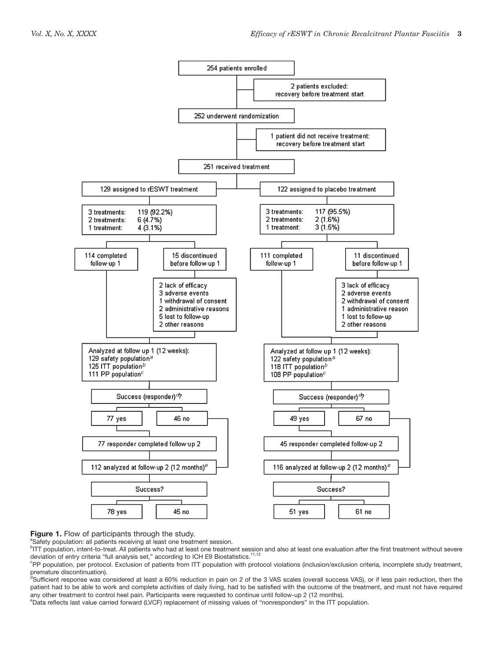

#### **Figure 1.** Flow of participants through the study. *<sup>a</sup>*

<sup>a</sup>Safety population: all patients receiving at least one treatment session.

*b* ITT population, intent-to-treat. All patients who had at least one treatment session and also at least one evaluation after the first treatment without severe deviation of entry criteria "full analysis set," according to ICH E9 Biostatistics.<sup>11,12</sup>

*c* PP population, per protocol. Exclusion of patients from ITT population with protocol violations (inclusion/exclusion criteria, incomplete study treatment,

premature discontinuation).<br><sup>d</sup>Sufficient response was considered at least a 60% reduction in pain on 2 of the 3 VAS scales (overall success VAS), or if less pain reduction, then the patient had to be able to work and complete activities of daily living, had to be satisfied with the outcome of the treatment, and must not have required any other treatment to control heel pain. Participants were requested to continue until follow-up 2 (12 months).

*e* Data reflects last value carried forward (LVCF) replacement of missing values of "nonresponders" in the ITT population.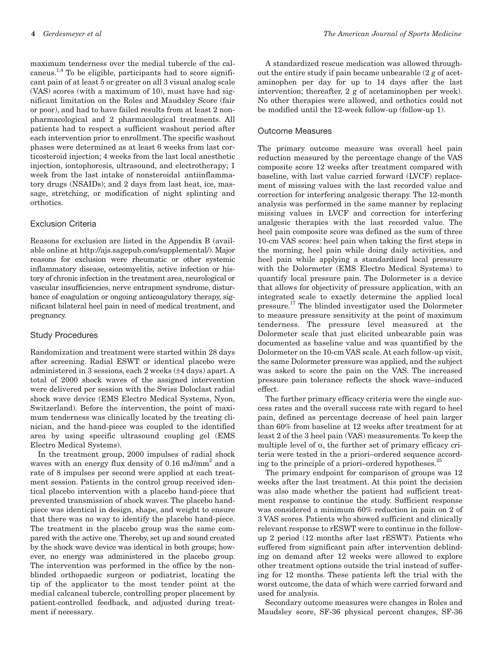maximum tenderness over the medial tubercle of the calcaneus.<sup>1,4</sup> To be eligible, participants had to score significant pain of at least 5 or greater on all 3 visual analog scale (VAS) scores (with a maximum of 10), must have had significant limitation on the Roles and Maudsley Score (fair or poor), and had to have failed results from at least 2 nonpharmacological and 2 pharmacological treatments. All patients had to respect a sufficient washout period after each intervention prior to enrollment. The specific washout phases were determined as at least 6 weeks from last corticosteroid injection; 4 weeks from the last local anesthetic injection, iontophoresis, ultrasound, and electrotherapy; 1 week from the last intake of nonsteroidal antiinflammatory drugs (NSAIDs); and 2 days from last heat, ice, massage, stretching, or modification of night splinting and orthotics.

#### Exclusion Criteria

Reasons for exclusion are listed in the Appendix B (available online at http://ajs.sagepub.com/supplemental/). Major reasons for exclusion were rheumatic or other systemic inflammatory disease, osteomyelitis, active infection or history of chronic infection in the treatment area, neurological or vascular insufficiencies, nerve entrapment syndrome, disturbance of coagulation or ongoing anticoagulatory therapy, significant bilateral heel pain in need of medical treatment, and pregnancy.

#### Study Procedures

Randomization and treatment were started within 28 days after screening. Radial ESWT or identical placebo were administered in 3 sessions, each 2 weeks (±4 days) apart. A total of 2000 shock waves of the assigned intervention were delivered per session with the Swiss Doloclast radial shock wave device (EMS Electro Medical Systems, Nyon, Switzerland). Before the intervention, the point of maximum tenderness was clinically located by the treating clinician, and the hand-piece was coupled to the identified area by using specific ultrasound coupling gel (EMS Electro Medical Systems).

In the treatment group, 2000 impulses of radial shock waves with an energy flux density of  $0.16$  mJ/mm<sup>2</sup> and a rate of 8 impulses per second were applied at each treatment session. Patients in the control group received identical placebo intervention with a placebo hand-piece that prevented transmission of shock waves. The placebo handpiece was identical in design, shape, and weight to ensure that there was no way to identify the placebo hand-piece. The treatment in the placebo group was the same compared with the active one. Thereby, set up and sound created by the shock wave device was identical in both groups; however, no energy was administered in the placebo group. The intervention was performed in the office by the nonblinded orthopaedic surgeon or podiatrist, locating the tip of the applicator to the most tender point at the medial calcaneal tubercle, controlling proper placement by patient-controlled feedback, and adjusted during treatment if necessary.

A standardized rescue medication was allowed throughout the entire study if pain became unbearable (2 g of acetaminophen per day for up to 14 days after the last intervention; thereafter, 2 g of acetaminophen per week). No other therapies were allowed, and orthotics could not be modified until the 12-week follow-up (follow-up 1).

### Outcome Measures

The primary outcome measure was overall heel pain reduction measured by the percentage change of the VAS composite score 12 weeks after treatment compared with baseline, with last value carried forward (LVCF) replacement of missing values with the last recorded value and correction for interfering analgesic therapy. The 12-month analysis was performed in the same manner by replacing missing values in LVCF and correction for interfering analgesic therapies with the last recorded value. The heel pain composite score was defined as the sum of three 10-cm VAS scores: heel pain when taking the first steps in the morning, heel pain while doing daily activities, and heel pain while applying a standardized local pressure with the Dolormeter (EMS Electro Medical Systems) to quantify local pressure pain. The Dolormeter is a device that allows for objectivity of pressure application, with an integrated scale to exactly determine the applied local pressure.<sup>17</sup> The blinded investigator used the Dolormeter to measure pressure sensitivity at the point of maximum tenderness. The pressure level measured at the Dolormeter scale that just elicited unbearable pain was documented as baseline value and was quantified by the Dolormeter on the 10-cm VAS scale. At each follow-up visit, the same Dolormeter pressure was applied, and the subject was asked to score the pain on the VAS. The increased pressure pain tolerance reflects the shock wave–induced effect.

The further primary efficacy criteria were the single success rates and the overall success rate with regard to heel pain, defined as percentage decrease of heel pain larger than 60% from baseline at 12 weeks after treatment for at least 2 of the 3 heel pain (VAS) measurements. To keep the multiple level of  $\alpha$ , the further set of primary efficacy criteria were tested in the a priori–ordered sequence according to the principle of a priori–ordered hypotheses.<sup>25</sup>

The primary endpoint for comparison of groups was 12 weeks after the last treatment. At this point the decision was also made whether the patient had sufficient treatment response to continue the study. Sufficient response was considered a minimum 60% reduction in pain on 2 of 3 VAS scores. Patients who showed sufficient and clinically relevant response to rESWT were to continue in the followup 2 period (12 months after last rESWT). Patients who suffered from significant pain after intervention deblinding on demand after 12 weeks were allowed to explore other treatment options outside the trial instead of suffering for 12 months. These patients left the trial with the worst outcome, the data of which were carried forward and used for analysis.

Secondary outcome measures were changes in Roles and Maudsley score, SF-36 physical percent changes, SF-36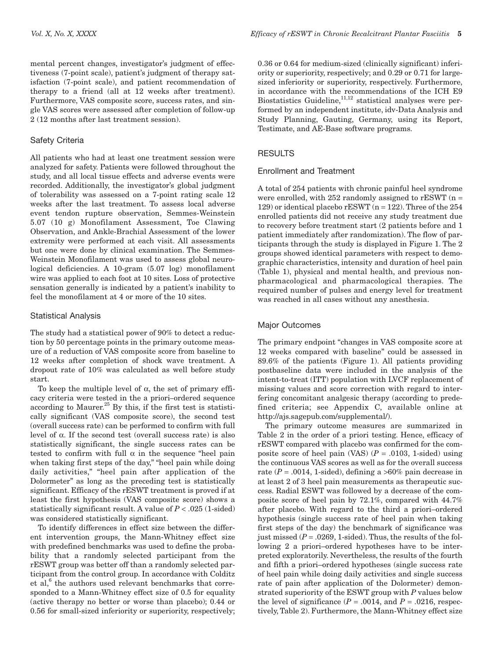mental percent changes, investigator's judgment of effectiveness (7-point scale), patient's judgment of therapy satisfaction (7-point scale), and patient recommendation of therapy to a friend (all at 12 weeks after treatment). Furthermore, VAS composite score, success rates, and single VAS scores were assessed after completion of follow-up 2 (12 months after last treatment session).

### Safety Criteria

All patients who had at least one treatment session were analyzed for safety. Patients were followed throughout the study, and all local tissue effects and adverse events were recorded. Additionally, the investigator's global judgment of tolerability was assessed on a 7-point rating scale 12 weeks after the last treatment. To assess local adverse event tendon rupture observation, Semmes-Weinstein 5.07 (10 g) Monofilament Assessment, Toe Clawing Observation, and Ankle-Brachial Assessment of the lower extremity were performed at each visit. All assessments but one were done by clinical examination. The Semmes-Weinstein Monofilament was used to assess global neurological deficiencies. A 10-gram (5.07 log) monofilament wire was applied to each foot at 10 sites. Loss of protective sensation generally is indicated by a patient's inability to feel the monofilament at 4 or more of the 10 sites.

#### Statistical Analysis

The study had a statistical power of 90% to detect a reduction by 50 percentage points in the primary outcome measure of a reduction of VAS composite score from baseline to 12 weeks after completion of shock wave treatment. A dropout rate of 10% was calculated as well before study start.

To keep the multiple level of α, the set of primary efficacy criteria were tested in the a priori*–*ordered sequence according to Maurer.<sup>25</sup> By this, if the first test is statistically significant (VAS composite score), the second test (overall success rate) can be performed to confirm with full level of α. If the second test (overall success rate) is also statistically significant, the single success rates can be tested to confirm with full  $\alpha$  in the sequence "heel pain when taking first steps of the day," "heel pain while doing daily activities," "heel pain after application of the Dolormeter" as long as the preceding test is statistically significant. Efficacy of the rESWT treatment is proved if at least the first hypothesis (VAS composite score) shows a statistically significant result. A value of *P* < .025 (1-sided) was considered statistically significant.

To identify differences in effect size between the different intervention groups, the Mann-Whitney effect size with predefined benchmarks was used to define the probability that a randomly selected participant from the rESWT group was better off than a randomly selected participant from the control group. In accordance with Colditz et al, $6$  the authors used relevant benchmarks that corresponded to a Mann-Whitney effect size of 0.5 for equality (active therapy no better or worse than placebo); 0.44 or 0.56 for small-sized inferiority or superiority, respectively;

0.36 or 0.64 for medium-sized (clinically significant) inferiority or superiority, respectively; and 0.29 or 0.71 for largesized inferiority or superiority, respectively. Furthermore, in accordance with the recommendations of the ICH E9 Biostatistics Guideline, $11,12$  statistical analyses were performed by an independent institute, idv-Data Analysis and Study Planning, Gauting, Germany, using its Report, Testimate, and AE-Base software programs.

#### RESULTS

#### Enrollment and Treatment

A total of 254 patients with chronic painful heel syndrome were enrolled, with  $252$  randomly assigned to rESWT (n = 129) or identical placebo  $rESWT(n = 122)$ . Three of the 254 enrolled patients did not receive any study treatment due to recovery before treatment start (2 patients before and 1 patient immediately after randomization). The flow of participants through the study is displayed in Figure 1. The 2 groups showed identical parameters with respect to demographic characteristics, intensity and duration of heel pain (Table 1), physical and mental health, and previous nonpharmacological and pharmacological therapies. The required number of pulses and energy level for treatment was reached in all cases without any anesthesia.

# Major Outcomes

The primary endpoint "changes in VAS composite score at 12 weeks compared with baseline" could be assessed in 89.6% of the patients (Figure 1). All patients providing postbaseline data were included in the analysis of the intent-to-treat (ITT) population with LVCF replacement of missing values and score correction with regard to interfering concomitant analgesic therapy (according to predefined criteria; see Appendix C, available online at http://ajs.sagepub.com/supplemental/).

The primary outcome measures are summarized in Table 2 in the order of a priori testing. Hence, efficacy of rESWT compared with placebo was confirmed for the composite score of heel pain (VAS)  $(P = .0103, 1 \text{-sided})$  using the continuous VAS scores as well as for the overall success rate  $(P = .0014, 1 \text{-sided})$ , defining a >60% pain decrease in at least 2 of 3 heel pain measurements as therapeutic success. Radial ESWT was followed by a decrease of the composite score of heel pain by 72.1%, compared with 44.7% after placebo. With regard to the third a priori–ordered hypothesis (single success rate of heel pain when taking first steps of the day) the benchmark of significance was just missed  $(P = .0269, 1 \text{-sided})$ . Thus, the results of the following 2 a priori–ordered hypotheses have to be interpreted exploratorily. Nevertheless, the results of the fourth and fifth a priori–ordered hypotheses (single success rate of heel pain while doing daily activities and single success rate of pain after application of the Dolormeter) demonstrated superiority of the ESWT group with *P* values below the level of significance  $(P = .0014$ , and  $P = .0216$ , respectively, Table 2). Furthermore, the Mann-Whitney effect size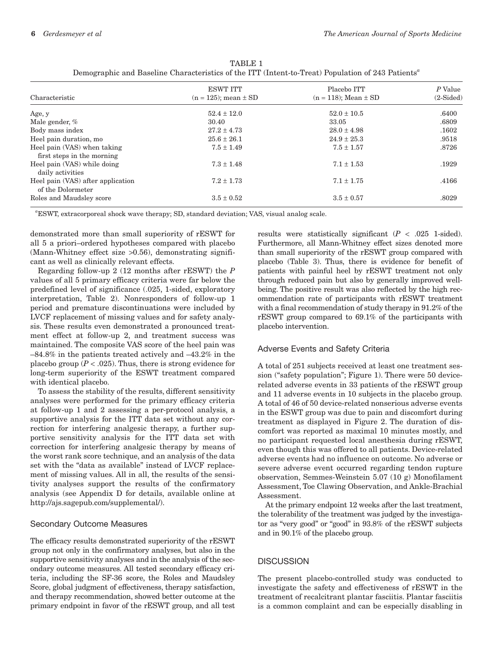|                                                           | <b>ESWT ITT</b>             | Placebo ITT                 | P Value     |  |
|-----------------------------------------------------------|-----------------------------|-----------------------------|-------------|--|
| Characteristic                                            | $(n = 125)$ ; mean $\pm$ SD | $(n = 118)$ ; Mean $\pm$ SD | $(2-Sided)$ |  |
| Age, y                                                    | $52.4 \pm 12.0$             | $52.0 \pm 10.5$             | .6400       |  |
| Male gender, %                                            | 30.40                       | 33.05                       | .6809       |  |
| Body mass index                                           | $27.2 \pm 4.73$             | $28.0 \pm 4.98$             | .1602       |  |
| Heel pain duration, mo                                    | $25.6 \pm 26.1$             | $24.9 \pm 25.3$             | .9518       |  |
| Heel pain (VAS) when taking<br>first steps in the morning | $7.5 \pm 1.49$              | $7.5 \pm 1.57$              | .8726       |  |
| Heel pain (VAS) while doing<br>daily activities           | $7.3 \pm 1.48$              | $7.1 \pm 1.53$              | .1929       |  |
| Heel pain (VAS) after application<br>of the Dolormeter    | $7.2 \pm 1.73$              | $7.1 \pm 1.75$              | .4166       |  |
| Roles and Maudsley score                                  | $3.5 \pm 0.52$              | $3.5 \pm 0.57$              | .8029       |  |

| TABLE 1                                                                                                       |  |
|---------------------------------------------------------------------------------------------------------------|--|
| Demographic and Baseline Characteristics of the ITT (Intent-to-Treat) Population of 243 Patients <sup>a</sup> |  |

*a* ESWT, extracorporeal shock wave therapy; SD, standard deviation; VAS, visual analog scale.

demonstrated more than small superiority of rESWT for all 5 a priori–ordered hypotheses compared with placebo (Mann-Whitney effect size >0.56), demonstrating significant as well as clinically relevant effects.

Regarding follow-up 2 (12 months after rESWT) the *P* values of all 5 primary efficacy criteria were far below the predefined level of significance (.025, 1-sided, exploratory interpretation, Table 2). Nonresponders of follow-up 1 period and premature discontinuations were included by LVCF replacement of missing values and for safety analysis. These results even demonstrated a pronounced treatment effect at follow-up 2, and treatment success was maintained. The composite VAS score of the heel pain was –84.8% in the patients treated actively and –43.2% in the placebo group  $(P < .025)$ . Thus, there is strong evidence for long-term superiority of the ESWT treatment compared with identical placebo.

To assess the stability of the results, different sensitivity analyses were performed for the primary efficacy criteria at follow-up 1 and 2 assessing a per-protocol analysis, a supportive analysis for the ITT data set without any correction for interfering analgesic therapy, a further supportive sensitivity analysis for the ITT data set with correction for interfering analgesic therapy by means of the worst rank score technique, and an analysis of the data set with the "data as available" instead of LVCF replacement of missing values. All in all, the results of the sensitivity analyses support the results of the confirmatory analysis (see Appendix D for details, available online at http://ajs.sagepub.com/supplemental/).

#### Secondary Outcome Measures

The efficacy results demonstrated superiority of the rESWT group not only in the confirmatory analyses, but also in the supportive sensitivity analyses and in the analysis of the secondary outcome measures. All tested secondary efficacy criteria, including the SF-36 score, the Roles and Maudsley Score, global judgment of effectiveness, therapy satisfaction, and therapy recommendation, showed better outcome at the primary endpoint in favor of the rESWT group, and all test

results were statistically significant  $(P < .025$  1-sided). Furthermore, all Mann-Whitney effect sizes denoted more than small superiority of the rESWT group compared with placebo (Table 3). Thus, there is evidence for benefit of patients with painful heel by rESWT treatment not only through reduced pain but also by generally improved wellbeing. The positive result was also reflected by the high recommendation rate of participants with rESWT treatment with a final recommendation of study therapy in 91.2% of the rESWT group compared to 69.1% of the participants with placebo intervention.

# Adverse Events and Safety Criteria

A total of 251 subjects received at least one treatment session ("safety population"; Figure 1). There were 50 devicerelated adverse events in 33 patients of the rESWT group and 11 adverse events in 10 subjects in the placebo group. A total of 46 of 50 device-related nonserious adverse events in the ESWT group was due to pain and discomfort during treatment as displayed in Figure 2. The duration of discomfort was reported as maximal 10 minutes mostly, and no participant requested local anesthesia during rESWT, even though this was offered to all patients. Device-related adverse events had no influence on outcome. No adverse or severe adverse event occurred regarding tendon rupture observation, Semmes-Weinstein 5.07 (10 g) Monofilament Assessment, Toe Clawing Observation, and Ankle-Brachial Assessment.

At the primary endpoint 12 weeks after the last treatment, the tolerability of the treatment was judged by the investigator as "very good" or "good" in 93.8% of the rESWT subjects and in 90.1% of the placebo group.

# **DISCUSSION**

The present placebo-controlled study was conducted to investigate the safety and effectiveness of rESWT in the treatment of recalcitrant plantar fasciitis. Plantar fasciitis is a common complaint and can be especially disabling in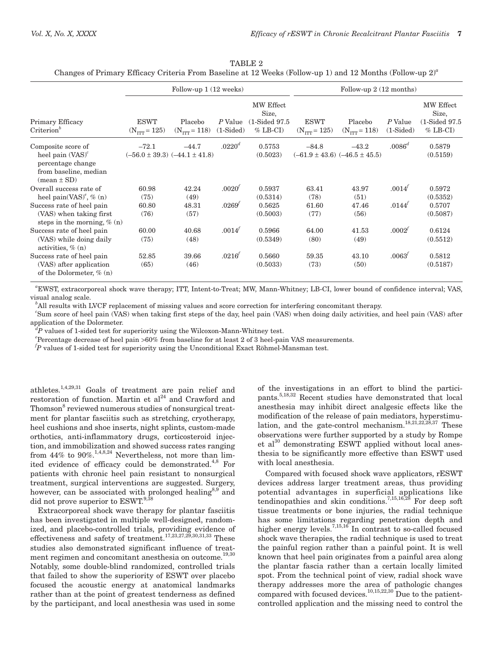| TABLE 2 |  |  |                                                                                                              |  |  |  |  |  |
|---------|--|--|--------------------------------------------------------------------------------------------------------------|--|--|--|--|--|
|         |  |  | Changes of Primary Efficacy Criteria From Baseline at 12 Weeks (Follow-up 1) and 12 Months (Follow-up $2)^a$ |  |  |  |  |  |

|                                                                                    | Follow-up 1 (12 weeks)                |                              |                        |                                                             | Follow-up $2(12$ months)                |                                       |                        |                                                             |
|------------------------------------------------------------------------------------|---------------------------------------|------------------------------|------------------------|-------------------------------------------------------------|-----------------------------------------|---------------------------------------|------------------------|-------------------------------------------------------------|
| Primary Efficacy<br>$Criterion^b$                                                  | <b>ESWT</b><br>$(N_{TTT} = 125)$      | Placebo<br>$(N_{TTT} = 118)$ | P Value<br>$(1-Sided)$ | MW Effect<br>Size,<br>$(1\text{-Sided }97.5)$<br>$%$ LB-CI) | <b>ESWT</b><br>$(N_{\text{TTT}} = 125)$ | Placebo<br>$(N_{TTT} = 118)$          | P Value<br>$(1-Sided)$ | MW Effect<br>Size,<br>$(1\text{-Sided }97.5)$<br>$%$ LB-CI) |
| Composite score of                                                                 | $-72.1$                               | $-44.7$                      | $.0220^{\circ}$        | 0.5753                                                      | $-84.8$                                 | $-43.2$                               | $.0086^d$              | 0.5879                                                      |
| heel pain $(VAS)^c$<br>percentage change<br>from baseline, median<br>$mean \pm SD$ | $(-56.0 \pm 39.3)$ $(-44.1 \pm 41.8)$ |                              |                        | (0.5023)                                                    |                                         | $(-61.9 \pm 43.6)$ $(-46.5 \pm 45.5)$ |                        | (0.5159)                                                    |
| Overall success rate of                                                            | 60.98                                 | 42.24                        | .0020'                 | 0.5937                                                      | 63.41                                   | 43.97                                 | .0014'                 | 0.5972                                                      |
| heel pain(VAS) <sup><math>\ell</math></sup> , $\%$ (n)                             | (75)                                  | (49)                         |                        | (0.5314)                                                    | (78)                                    | (51)                                  |                        | (0.5352)                                                    |
| Success rate of heel pain                                                          | 60.80                                 | 48.31                        | .0269'                 | 0.5625                                                      | 61.60                                   | 47.46                                 | .0144'                 | 0.5707                                                      |
| (VAS) when taking first<br>steps in the morning, $% (n)$                           | (76)                                  | (57)                         |                        | (0.5003)                                                    | (77)                                    | (56)                                  |                        | (0.5087)                                                    |
| Success rate of heel pain                                                          | 60.00                                 | 40.68                        | .0014'                 | 0.5966                                                      | 64.00                                   | 41.53                                 | .0002'                 | 0.6124                                                      |
| (VAS) while doing daily<br>activities, $\%$ (n)                                    | (75)                                  | (48)                         |                        | (0.5349)                                                    | (80)                                    | (49)                                  |                        | (0.5512)                                                    |
| Success rate of heel pain                                                          | 52.85                                 | 39.66                        | .0216'                 | 0.5660                                                      | 59.35                                   | 43.10                                 | .0063'                 | 0.5812                                                      |
| (VAS) after application<br>of the Dolormeter, % (n)                                | (65)                                  | (46)                         |                        | (0.5033)                                                    | (73)                                    | (50)                                  |                        | (0.5187)                                                    |

*a* EWST, extracorporeal shock wave therapy; ITT, Intent-to-Treat; MW, Mann-Whitney; LB-CI, lower bound of confidence interval; VAS, visual analog scale.

*b* All results with LVCF replacement of missing values and score correction for interfering concomitant therapy.

<sup>c</sup>Sum score of heel pain (VAS) when taking first steps of the day, heel pain (VAS) when doing daily activities, and heel pain (VAS) after application of the Dolormeter.

*d P* values of 1-sided test for superiority using the Wilcoxon-Mann-Whitney test.

*e* Percentage decrease of heel pain >60% from baseline for at least 2 of 3 heel-pain VAS measurements.

*f P* values of 1-sided test for superiority using the Unconditional Exact Röhmel-Mansman test.

athletes.1,4,29,31 Goals of treatment are pain relief and restoration of function. Martin et  $al^{24}$  and Crawford and Thomson<sup>8</sup> reviewed numerous studies of nonsurgical treatment for plantar fasciitis such as stretching, cryotherapy, heel cushions and shoe inserts, night splints, custom-made orthotics, anti-inflammatory drugs, corticosteroid injection, and immobilization and showed success rates ranging from 44% to 90%.<sup>1,4,8,24</sup> Nevertheless, not more than  $\overline{\lim}$ ited evidence of efficacy could be demonstrated.<sup>4,8</sup> For patients with chronic heel pain resistant to nonsurgical treatment, surgical interventions are suggested. Surgery, however, can be associated with prolonged healing<sup>8,9</sup> and did not prove superior to ESWT.<sup>9,3</sup>

Extracorporeal shock wave therapy for plantar fasciitis has been investigated in multiple well-designed, randomized, and placebo-controlled trials, providing evidence of effectiveness and safety of treatment.17,23,27,29,30,31,33 These studies also demonstrated significant influence of treatment regimen and concomitant anesthesia on outcome.<sup>19,30</sup> Notably, some double-blind randomized, controlled trials that failed to show the superiority of ESWT over placebo focused the acoustic energy at anatomical landmarks rather than at the point of greatest tenderness as defined by the participant, and local anesthesia was used in some

of the investigations in an effort to blind the participants.5,18,32 Recent studies have demonstrated that local anesthesia may inhibit direct analgesic effects like the modification of the release of pain mediators, hyperstimulation, and the gate-control mechanism.<sup>18,21,22,28,37</sup> These observations were further supported by a study by Rompe et al<sup>30</sup> demonstrating ESWT applied without local anesthesia to be significantly more effective than ESWT used with local anesthesia.

Compared with focused shock wave applicators, rESWT devices address larger treatment areas, thus providing potential advantages in superficial applications like tendinopathies and skin conditions.7,15,16,28 For deep soft tissue treatments or bone injuries, the radial technique has some limitations regarding penetration depth and higher energy levels.<sup>7,15,16</sup> In contrast to so-called focused shock wave therapies, the radial technique is used to treat the painful region rather than a painful point. It is well known that heel pain originates from a painful area along the plantar fascia rather than a certain locally limited spot. From the technical point of view, radial shock wave therapy addresses more the area of pathologic changes compared with focused devices.<sup>10,15,22,30</sup> Due to the patientcontrolled application and the missing need to control the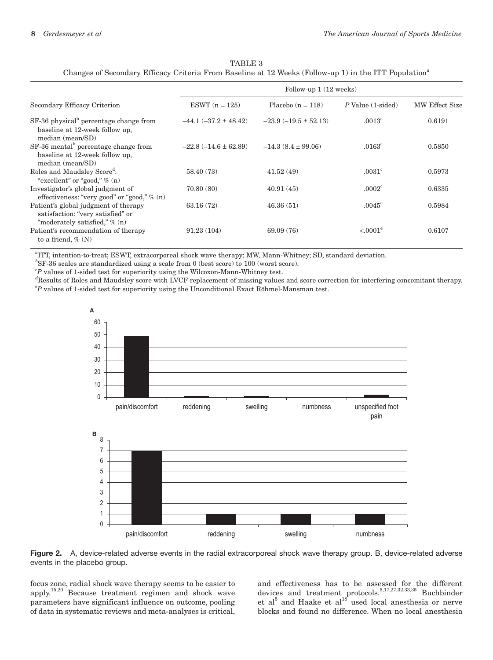| TABLE 3                                                                                                           |
|-------------------------------------------------------------------------------------------------------------------|
| Changes of Secondary Efficacy Criteria From Baseline at 12 Weeks (Follow-up 1) in the ITT Population <sup>a</sup> |

|                                                                                                              | Follow-up $1(12 \text{ weeks})$ |                          |                              |                       |  |  |  |
|--------------------------------------------------------------------------------------------------------------|---------------------------------|--------------------------|------------------------------|-----------------------|--|--|--|
| Secondary Efficacy Criterion                                                                                 | ESWT $(n = 125)$                | Placebo $(n = 118)$      | $P$ Value $(1\text{-sided})$ | <b>MW Effect Size</b> |  |  |  |
| SF-36 physical <sup>b</sup> percentage change from<br>baseline at 12-week follow up,<br>median (mean/SD)     | $-44.1 (-37.2 \pm 48.42)$       | $-23.9(-19.5 \pm 52.13)$ | $.0013^{\circ}$              | 0.6191                |  |  |  |
| $SF-36$ mental <sup>b</sup> percentage change from<br>baseline at 12-week follow up,<br>median (mean/SD)     | $-22.8(-14.6 \pm 62.89)$        | $-14.3(8.4 \pm 99.06)$   | $.0163^{\circ}$              | 0.5850                |  |  |  |
| Roles and Maudsley Score <sup>d</sup> :<br>"excellent" or "good," $\%$ (n)                                   | 58.40 (73)                      | 41.52(49)                | .0031 <sup>c</sup>           | 0.5973                |  |  |  |
| Investigator's global judgment of<br>effectiveness: "very good" or "good," % (n)                             | 70.80(80)                       | 40.91(45)                | .0002 <sup>c</sup>           | 0.6335                |  |  |  |
| Patient's global judgment of therapy<br>satisfaction: "very satisfied" or<br>"moderately satisfied," $% (n)$ | 63.16 (72)                      | 46.36(51)                | $.0045^{\circ}$              | 0.5984                |  |  |  |
| Patient's recommendation of therapy<br>to a friend, $\%$ (N)                                                 | 91.23(104)                      | 69.09 (76)               | $< 0.001^e$                  | 0.6107                |  |  |  |

*a* ITT, intention-to-treat; ESWT, extracorporeal shock wave therapy; MW, Mann-Whitney; SD, standard deviation.

*b* SF-36 scales are standardized using a scale from 0 (best score) to 100 (worst score).

*c P* values of 1-sided test for superiority using the Wilcoxon-Mann-Whitney test.

*d* Results of Roles and Maudsley score with LVCF replacement of missing values and score correction for interfering concomitant therapy. *e P* values of 1-sided test for superiority using the Unconditional Exact Röhmel-Mansman test.



**Figure 2.** A, device-related adverse events in the radial extracorporeal shock wave therapy group. B, device-related adverse events in the placebo group.

focus zone, radial shock wave therapy seems to be easier to apply.15,20 Because treatment regimen and shock wave parameters have significant influence on outcome, pooling of data in systematic reviews and meta-analyses is critical,

and effectiveness has to be assessed for the different devices and treatment protocols.<sup>5,17,27,32,33,35</sup> Buchbinder et al<sup>5</sup> and Haake et al<sup>18</sup> used local anesthesia or nerve blocks and found no difference. When no local anesthesia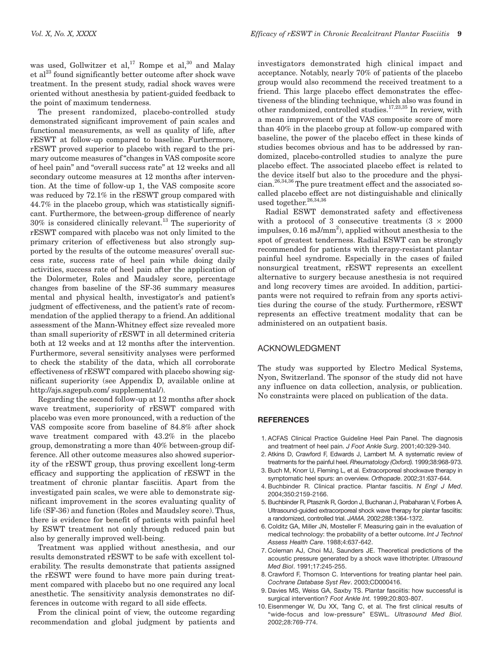was used, Gollwitzer et  $al$ ,<sup>17</sup> Rompe et  $al$ ,<sup>30</sup> and Malay et  $al^{23}$  found significantly better outcome after shock wave treatment. In the present study, radial shock waves were oriented without anesthesia by patient-guided feedback to the point of maximum tenderness.

The present randomized, placebo-controlled study demonstrated significant improvement of pain scales and functional measurements, as well as quality of life, after rESWT at follow-up compared to baseline. Furthermore, rESWT proved superior to placebo with regard to the primary outcome measures of "changes in VAS composite score of heel pain" and "overall success rate" at 12 weeks and all secondary outcome measures at 12 months after intervention. At the time of follow-up 1, the VAS composite score was reduced by 72.1% in the rESWT group compared with 44.7% in the placebo group, which was statistically significant. Furthermore, the between-group difference of nearly 30% is considered clinically relevant.13 The superiority of rESWT compared with placebo was not only limited to the primary criterion of effectiveness but also strongly supported by the results of the outcome measures' overall success rate, success rate of heel pain while doing daily activities, success rate of heel pain after the application of the Dolormeter, Roles and Maudsley score, percentage changes from baseline of the SF-36 summary measures mental and physical health, investigator's and patient's judgment of effectiveness, and the patient's rate of recommendation of the applied therapy to a friend. An additional assessment of the Mann-Whitney effect size revealed more than small superiority of rESWT in all determined criteria both at 12 weeks and at 12 months after the intervention. Furthermore, several sensitivity analyses were performed to check the stability of the data, which all corroborate effectiveness of rESWT compared with placebo showing significant superiority (see Appendix D, available online at http://ajs.sagepub.com/ supplemental/).

Regarding the second follow-up at 12 months after shock wave treatment, superiority of rESWT compared with placebo was even more pronounced, with a reduction of the VAS composite score from baseline of 84.8% after shock wave treatment compared with 43.2% in the placebo group, demonstrating a more than 40% between-group difference. All other outcome measures also showed superiority of the rESWT group, thus proving excellent long-term efficacy and supporting the application of rESWT in the treatment of chronic plantar fasciitis. Apart from the investigated pain scales, we were able to demonstrate significant improvement in the scores evaluating quality of life (SF-36) and function (Roles and Maudsley score). Thus, there is evidence for benefit of patients with painful heel by ESWT treatment not only through reduced pain but also by generally improved well-being.

Treatment was applied without anesthesia, and our results demonstrated rESWT to be safe with excellent tolerability. The results demonstrate that patients assigned the rESWT were found to have more pain during treatment compared with placebo but no one required any local anesthetic. The sensitivity analysis demonstrates no differences in outcome with regard to all side effects.

From the clinical point of view, the outcome regarding recommendation and global judgment by patients and

investigators demonstrated high clinical impact and acceptance. Notably, nearly 70% of patients of the placebo group would also recommend the received treatment to a friend. This large placebo effect demonstrates the effectiveness of the blinding technique, which also was found in other randomized, controlled studies.17,23,35 In review, with a mean improvement of the VAS composite score of more than 40% in the placebo group at follow-up compared with baseline, the power of the placebo effect in these kinds of studies becomes obvious and has to be addressed by randomized, placebo-controlled studies to analyze the pure placebo effect. The associated placebo effect is related to the device itself but also to the procedure and the physician.26,34,36 The pure treatment effect and the associated socalled placebo effect are not distinguishable and clinically used together.<sup>26,34,36</sup>

Radial ESWT demonstrated safety and effectiveness with a protocol of 3 consecutive treatments  $(3 \times 2000)$ impulses, 0.16 mJ/mm<sup>2</sup>), applied without anesthesia to the spot of greatest tenderness. Radial ESWT can be strongly recommended for patients with therapy-resistant plantar painful heel syndrome. Especially in the cases of failed nonsurgical treatment, rESWT represents an excellent alternative to surgery because anesthesia is not required and long recovery times are avoided. In addition, participants were not required to refrain from any sports activities during the course of the study. Furthermore, rESWT represents an effective treatment modality that can be administered on an outpatient basis.

# ACKNOWLEDGMENT

The study was supported by Electro Medical Systems, Nyon, Switzerland. The sponsor of the study did not have any influence on data collection, analysis, or publication. No constraints were placed on publication of the data.

#### **REFERENCES**

- 1. ACFAS Clinical Practice Guideline Heel Pain Panel. The diagnosis and treatment of heel pain. *J Foot Ankle Surg*. 2001;40:329-340.
- 2. Atkins D, Crawford F, Edwards J, Lambert M. A systematic review of treatments for the painful heel. *Rheumatology (Oxford).* 1999;38:968-973.
- 3. Buch M, Knorr U, Fleming L, et al. Extracorporeal shockwave therapy in symptomatic heel spurs: an overview. *Orthopade*. 2002;31:637-644.
- 4. Buchbinder R. Clinical practice. Plantar fasciitis. *N Engl J Med*. 2004;350:2159-2166.
- 5. Buchbinder R, Ptasznik R, Gordon J, Buchanan J, Prabaharan V, Forbes A. Ultrasound-guided extracorporeal shock wave therapy for plantar fasciitis: a randomized, controlled trial. *JAMA*. 2002;288:1364-1372.
- 6. Colditz GA, Miller JN, Mosteller F. Measuring gain in the evaluation of medical technology: the probability of a better outcome. *Int J Technol Assess Health Care*. 1988;4:637-642.
- 7. Coleman AJ, Choi MJ, Saunders JE. Theoretical predictions of the acoustic pressure generated by a shock wave lithotripter. *Ultrasound Med Biol*. 1991;17:245-255.
- 8. Crawford F, Thomson C. Interventions for treating plantar heel pain. *Cochrane Database Syst Rev*. 2003;CD000416.
- 9. Davies MS, Weiss GA, Saxby TS. Plantar fasciitis: how successful is surgical intervention? *Foot Ankle Int.* 1999;20:803-807.
- 10. Eisenmenger W, Du XX, Tang C, et al. The first clinical results of "wide-focus and low-pressure" ESWL. *Ultrasound Med Biol.* 2002;28:769-774.